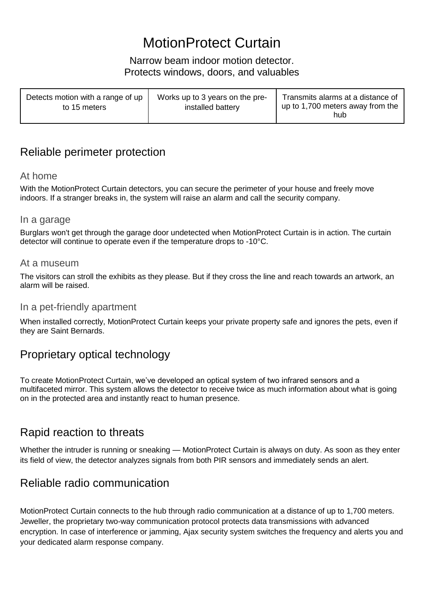# MotionProtect Curtain

#### Narrow beam indoor motion detector. Protects windows, doors, and valuables

| Detects motion with a range of up<br>to 15 meters | Works up to 3 years on the pre-<br>installed battery | Transmits alarms at a distance of<br>up to 1,700 meters away from the<br>hub |
|---------------------------------------------------|------------------------------------------------------|------------------------------------------------------------------------------|
|---------------------------------------------------|------------------------------------------------------|------------------------------------------------------------------------------|

### Reliable perimeter protection

#### At home

With the MotionProtect Curtain detectors, you can secure the perimeter of your house and freely move indoors. If a stranger breaks in, the system will raise an alarm and call the security company.

#### In a garage

Burglars won't get through the garage door undetected when MotionProtect Curtain is in action. The curtain detector will continue to operate even if the temperature drops to -10°C.

#### At a museum

The visitors can stroll the exhibits as they please. But if they cross the line and reach towards an artwork, an alarm will be raised.

#### In a pet-friendly apartment

When installed correctly, MotionProtect Curtain keeps your private property safe and ignores the pets, even if they are Saint Bernards.

### Proprietary optical technology

To create MotionProtect Curtain, we've developed an optical system of two infrared sensors and a multifaceted mirror. This system allows the detector to receive twice as much information about what is going on in the protected area and instantly react to human presence.

### Rapid reaction to threats

Whether the intruder is running or sneaking — MotionProtect Curtain is always on duty. As soon as they enter its field of view, the detector analyzes signals from both PIR sensors and immediately sends an alert.

### Reliable radio communication

MotionProtect Curtain connects to the hub through radio communication at a distance of up to 1,700 meters. Jeweller, the proprietary two-way communication protocol protects data transmissions with advanced encryption. In case of interference or jamming, Ajax security system switches the frequency and alerts you and your dedicated alarm response company.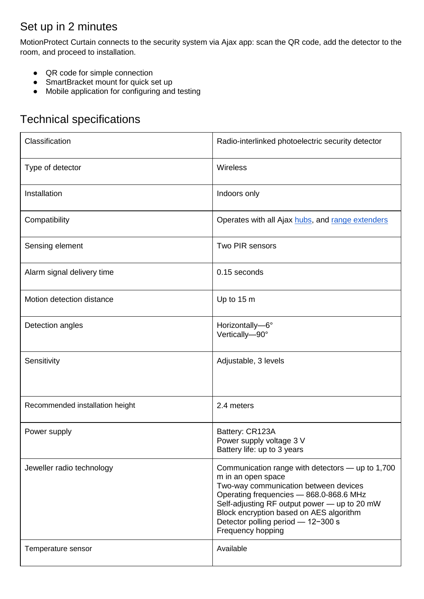# Set up in 2 minutes

MotionProtect Curtain connects to the security system via Ajax app: scan the QR code, add the detector to the room, and proceed to installation.

- QR code for simple connection
- SmartBracket mount for quick set up
- Mobile application for configuring and testing

## Technical specifications

| Classification                  | Radio-interlinked photoelectric security detector                                                                                                                                                                                                                                                                |
|---------------------------------|------------------------------------------------------------------------------------------------------------------------------------------------------------------------------------------------------------------------------------------------------------------------------------------------------------------|
| Type of detector                | Wireless                                                                                                                                                                                                                                                                                                         |
| Installation                    | Indoors only                                                                                                                                                                                                                                                                                                     |
| Compatibility                   | Operates with all Ajax hubs, and range extenders                                                                                                                                                                                                                                                                 |
| Sensing element                 | Two PIR sensors                                                                                                                                                                                                                                                                                                  |
| Alarm signal delivery time      | 0.15 seconds                                                                                                                                                                                                                                                                                                     |
| Motion detection distance       | Up to 15 m                                                                                                                                                                                                                                                                                                       |
| Detection angles                | Horizontally-6°<br>Vertically-90°                                                                                                                                                                                                                                                                                |
| Sensitivity                     | Adjustable, 3 levels                                                                                                                                                                                                                                                                                             |
| Recommended installation height | 2.4 meters                                                                                                                                                                                                                                                                                                       |
| Power supply                    | Battery: CR123A<br>Power supply voltage 3 V<br>Battery life: up to 3 years                                                                                                                                                                                                                                       |
| Jeweller radio technology       | Communication range with detectors — up to 1,700<br>m in an open space<br>Two-way communication between devices<br>Operating frequencies - 868.0-868.6 MHz<br>Self-adjusting RF output power - up to 20 mW<br>Block encryption based on AES algorithm<br>Detector polling period - 12-300 s<br>Frequency hopping |
| Temperature sensor              | Available                                                                                                                                                                                                                                                                                                        |